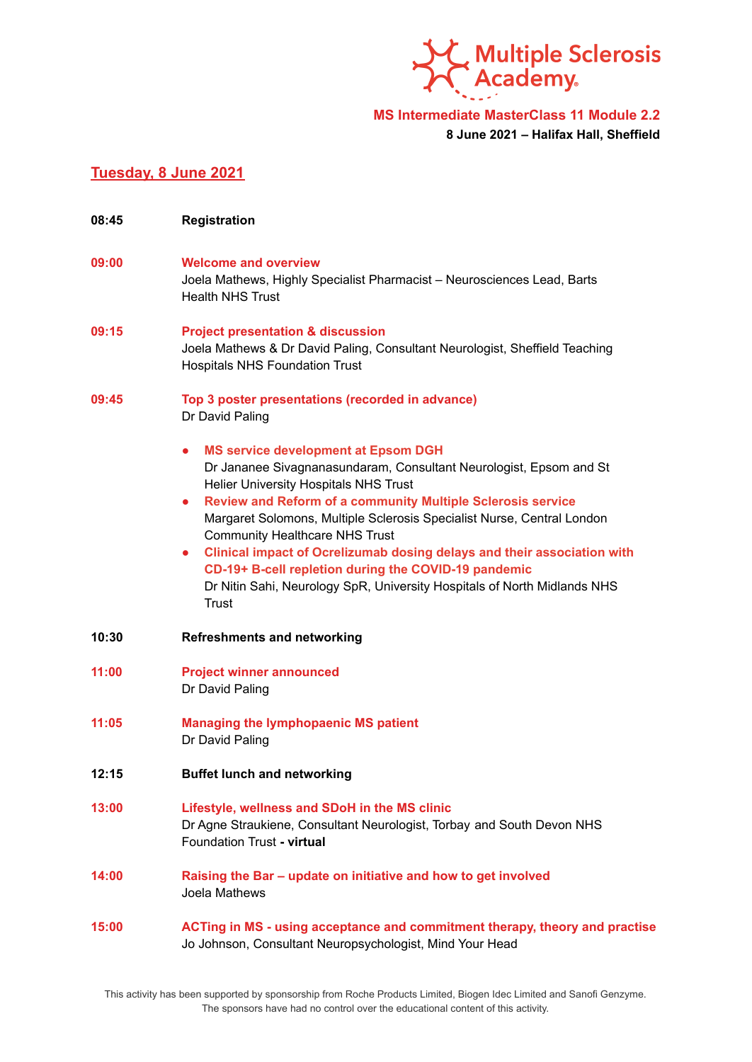

**MS Intermediate MasterClass 11 Module 2.2**

**8 June 2021 – Halifax Hall, Sheffield**

## **Tuesday, 8 June 2021**

- **08:45 Registration 09:00 Welcome and overview** Joela Mathews, Highly Specialist Pharmacist – Neurosciences Lead, Barts Health NHS Trust **09:15 Project presentation & discussion** Joela Mathews & Dr David Paling, Consultant Neurologist, Sheffield Teaching Hospitals NHS Foundation Trust **09:45 Top 3 poster presentations (recorded in advance)** Dr David Paling **● MS service development at Epsom DGH** Dr Jananee Sivagnanasundaram, Consultant Neurologist, Epsom and St Helier University Hospitals NHS Trust **● Review and Reform of a community Multiple Sclerosis service** Margaret Solomons, Multiple Sclerosis Specialist Nurse, Central London Community Healthcare NHS Trust **● Clinical impact of Ocrelizumab dosing delays and their association with CD-19+ B-cell repletion during the COVID-19 pandemic** Dr Nitin Sahi, Neurology SpR, University Hospitals of North Midlands NHS Trust **10:30 Refreshments and networking 11:00 Project winner announced** Dr David Paling **11:05 Managing the lymphopaenic MS patient** Dr David Paling **12:15 Buffet lunch and networking 13:00 Lifestyle, wellness and SDoH in the MS clinic** Dr Agne Straukiene, Consultant Neurologist, Torbay and South Devon NHS Foundation Trust **- virtual 14:00 Raising the Bar – update on initiative and how to get involved** Joela Mathews **15:00 ACTing in MS - using acceptance and commitment therapy, theory and practise**
	- This activity has been supported by sponsorship from Roche Products Limited, Biogen Idec Limited and Sanofi Genzyme. The sponsors have had no control over the educational content of this activity.

Jo Johnson, Consultant Neuropsychologist, Mind Your Head